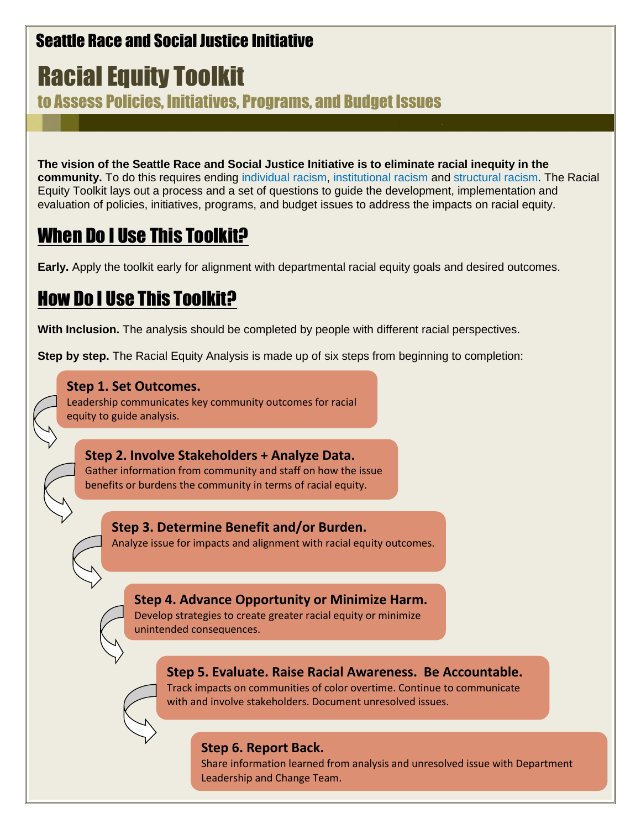# Seattle Race and Social Justice Initiative

# Racial Equity Toolkit

to Assess Policies, Initiatives, Programs, and Budget Issues

**The vision of the Seattle Race and Social Justice Initiative is to eliminate racial inequity in the community.** To do this requires ending [individual racism,](file://///SEA100_SMD_SERVER/V21/SOCR/HOME/ANIBARB/My%20Documents/ttolkit%20update/individual%20racism) [institutional racism](file://///SEA100_SMD_SERVER/V21/SOCR/HOME/ANIBARB/My%20Documents/ttolkit%20update/institutional%20racism) and [structural racism.](file://///SEA100_SMD_SERVER/V21/SOCR/HOME/ANIBARB/My%20Documents/ttolkit%20update/Structural%20Racism) The Racial Equity Toolkit lays out a process and a set of questions to guide the development, implementation and evaluation of policies, initiatives, programs, and budget issues to address the impacts on racial equity.

# When Do I Use This Toolkit?

**Early.** Apply the toolkit early for alignment with departmental racial equity goals and desired outcomes.

# How Do I Use This Toolkit?

**With Inclusion.** The analysis should be completed by people with different racial perspectives.

**Step by step.** The Racial Equity Analysis is made up of six steps from beginning to completion:

## **Step 1. Set Outcomes.**

Leadership communicates key community outcomes for racial equity to guide analysis.

What does data tell you about potential impacts?

**Step 2. Involve Stakeholders + Analyze Data.**  Gather information from community and staff on how the issue benefits or burdens the community in terms of racial equity.

**Step 3. Determine Benefit and/or Burden.** Analyze issue for impacts and alignment with racial equity outcomes.

## **Step 4. Advance Opportunity or Minimize Harm.**

Develop strategies to create greater racial equity or minimize unintended consequences.

## **Step 5. Evaluate. Raise Racial Awareness. Be Accountable.**

Track impacts on communities of color overtime. Continue to communicate with and involve stakeholders. Document unresolved issues.

## **Step 6. Report Back.**

Share information learned from analysis and unresolved issue with Department Leadership and Change Team.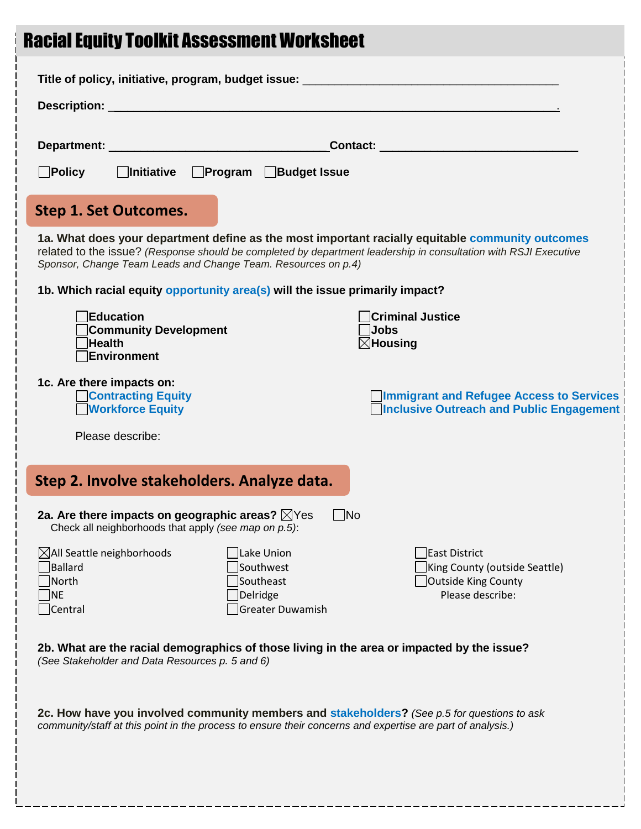# Racial Equity Toolkit Assessment Worksheet

| Title of policy, initiative, program, budget issue: ____________________________                                                                                                                                                                                                      |                                                                                                             |  |
|---------------------------------------------------------------------------------------------------------------------------------------------------------------------------------------------------------------------------------------------------------------------------------------|-------------------------------------------------------------------------------------------------------------|--|
|                                                                                                                                                                                                                                                                                       |                                                                                                             |  |
|                                                                                                                                                                                                                                                                                       |                                                                                                             |  |
| <b>Program</b> Budget Issue<br>$\Box$ Policy<br>  Initiative                                                                                                                                                                                                                          |                                                                                                             |  |
| Step 1. Set Outcomes.                                                                                                                                                                                                                                                                 |                                                                                                             |  |
| 1a. What does your department define as the most important racially equitable community outcomes<br>related to the issue? (Response should be completed by department leadership in consultation with RSJI Executive<br>Sponsor, Change Team Leads and Change Team. Resources on p.4) |                                                                                                             |  |
| 1b. Which racial equity opportunity area(s) will the issue primarily impact?                                                                                                                                                                                                          |                                                                                                             |  |
| Education<br><b>Community Development</b><br><b>Health</b><br>Environment                                                                                                                                                                                                             | <b>Criminal Justice</b><br>Jobs<br>$\boxtimes$ Housing                                                      |  |
| 1c. Are there impacts on:<br><b>Contracting Equity</b><br><b>Workforce Equity</b><br>Please describe:                                                                                                                                                                                 | <b>Immigrant and Refugee Access to Services</b><br><b>Number 1</b> Inclusive Outreach and Public Engagement |  |
|                                                                                                                                                                                                                                                                                       |                                                                                                             |  |
| Step 2. Involve stakeholders. Analyze data.                                                                                                                                                                                                                                           |                                                                                                             |  |
| 2a. Are there impacts on geographic areas? $\boxtimes$ Yes<br>$\Box$ No<br>Check all neighborhoods that apply (see map on p.5):                                                                                                                                                       |                                                                                                             |  |
| $\boxtimes$ All Seattle neighborhoods<br>Lake Union<br>Ballard<br>Southwest<br>Southeast<br>North<br>Delridge<br>NE)<br>Greater Duwamish<br>Central                                                                                                                                   | East District<br>King County (outside Seattle)<br>Outside King County<br>Please describe:                   |  |
| 2b. What are the racial demographics of those living in the area or impacted by the issue?<br>(See Stakeholder and Data Resources p. 5 and 6)                                                                                                                                         |                                                                                                             |  |
| 2c. How have you involved community members and stakeholders? (See p.5 for questions to ask<br>community/staff at this point in the process to ensure their concerns and expertise are part of analysis.)                                                                             |                                                                                                             |  |
|                                                                                                                                                                                                                                                                                       |                                                                                                             |  |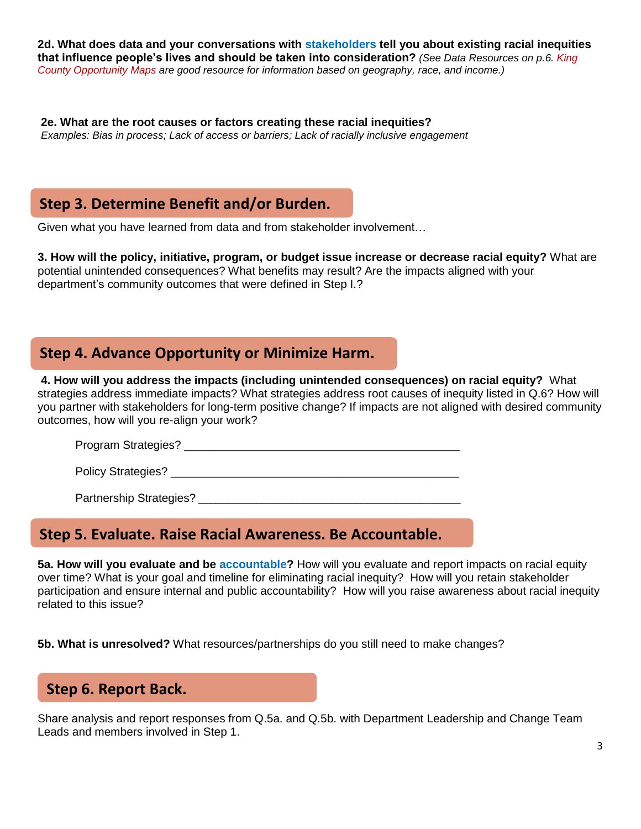**2d. What does data and your conversations with [stakeholders](file://///SEA100_SMD_SERVER/V21/SOCR/HOME/ANIBARB/My%20Documents/ttolkit%20update/Stakeholders) tell you about existing racial inequities that influence people's lives and should be taken into consideration?** *(See Data Resources on p.6. King County Opportunity Maps are good resource for information based on geography, race, and income.)* 

**2e. What are the root causes or factors creating these racial inequities?** *Examples: Bias in process; Lack of access or barriers; Lack of racially inclusive engagement* 

## **Step 3. Determine Benefit and/or Burden.**

Given what you have learned from data and from stakeholder involvement...

**3. How will the policy, initiative, program, or budget issue increase or decrease racial equity?** What are potential unintended consequences? What benefits may result? Are the impacts aligned with your department's community outcomes that were defined in Step I.?

## **Step 4. Advance Opportunity or Minimize Harm.**

**4. How will you address the impacts (including unintended consequences) on racial equity?** What strategies address immediate impacts? What strategies address root causes of inequity listed in Q.6? How will you partner with stakeholders for long-term positive change? If impacts are not aligned with desired community outcomes, how will you re-align your work?

Program Strategies? **Example 2018** 

Policy Strategies?

Partnership Strategies? **Example 2018** 

## **Step 5. Evaluate. Raise Racial Awareness. Be Accountable.**

**5a. How will you evaluate and be [accountable?](file://///SEA100_SMD_SERVER/V21/SOCR/HOME/ANIBARB/My%20Documents/ttolkit%20update/Accountable)** How will you evaluate and report impacts on racial equity over time? What is your goal and timeline for eliminating racial inequity? How will you retain stakeholder participation and ensure internal and public accountability? How will you raise awareness about racial inequity related to this issue?

**5b. What is unresolved?** What resources/partnerships do you still need to make changes?

## **Step 6. Report Back.**

Share analysis and report responses from Q.5a. and Q.5b. with Department Leadership and Change Team Leads and members involved in Step 1.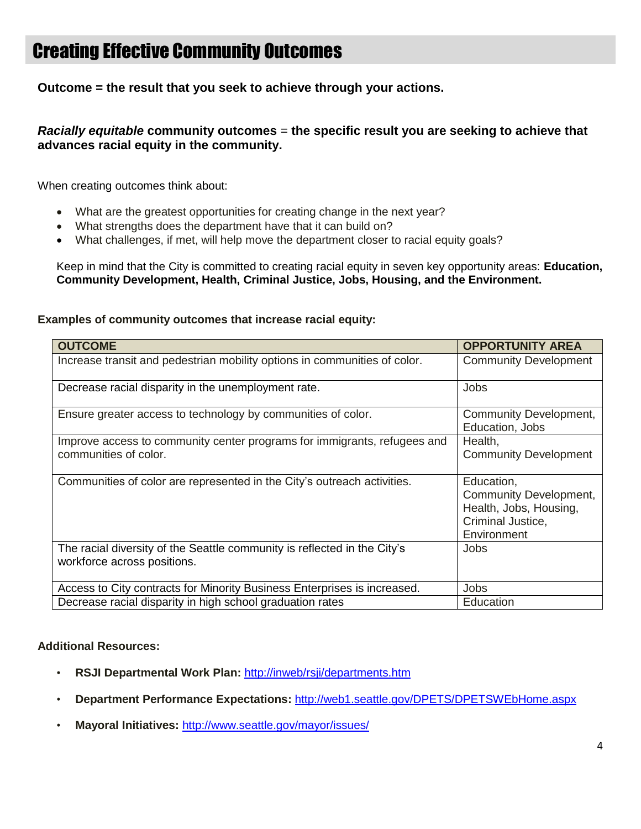# Creating Effective Community Outcomes

**Outcome = the result that you seek to achieve through your actions.** 

#### *Racially equitable* **community outcomes** = **the specific result you are seeking to achieve that advances racial equity in the community.**

When creating outcomes think about:

- What are the greatest opportunities for creating change in the next year?
- What strengths does the department have that it can build on?
- What challenges, if met, will help move the department closer to racial equity goals?

Keep in mind that the City is committed to creating racial equity in seven key opportunity areas: **Education, Community Development, Health, Criminal Justice, Jobs, Housing, and the Environment.**

#### **Examples of community outcomes that increase racial equity:**

| <b>OUTCOME</b>                                                                                          | <b>OPPORTUNITY AREA</b>                   |
|---------------------------------------------------------------------------------------------------------|-------------------------------------------|
| Increase transit and pedestrian mobility options in communities of color.                               | <b>Community Development</b>              |
| Decrease racial disparity in the unemployment rate.                                                     | Jobs                                      |
| Ensure greater access to technology by communities of color.                                            | Community Development,<br>Education, Jobs |
| Improve access to community center programs for immigrants, refugees and                                | Health,                                   |
| communities of color.                                                                                   | <b>Community Development</b>              |
| Communities of color are represented in the City's outreach activities.                                 | Education,                                |
|                                                                                                         | Community Development,                    |
|                                                                                                         | Health, Jobs, Housing,                    |
|                                                                                                         | Criminal Justice,                         |
|                                                                                                         | Environment                               |
| The racial diversity of the Seattle community is reflected in the City's<br>workforce across positions. | Jobs                                      |
| Access to City contracts for Minority Business Enterprises is increased.                                | Jobs                                      |
| Decrease racial disparity in high school graduation rates                                               | Education                                 |

#### **Additional Resources:**

- **RSJI Departmental Work Plan:** <http://inweb/rsji/departments.htm>
- **Department Performance Expectations:** <http://web1.seattle.gov/DPETS/DPETSWEbHome.aspx>
- **Mayoral Initiatives:** <http://www.seattle.gov/mayor/issues/>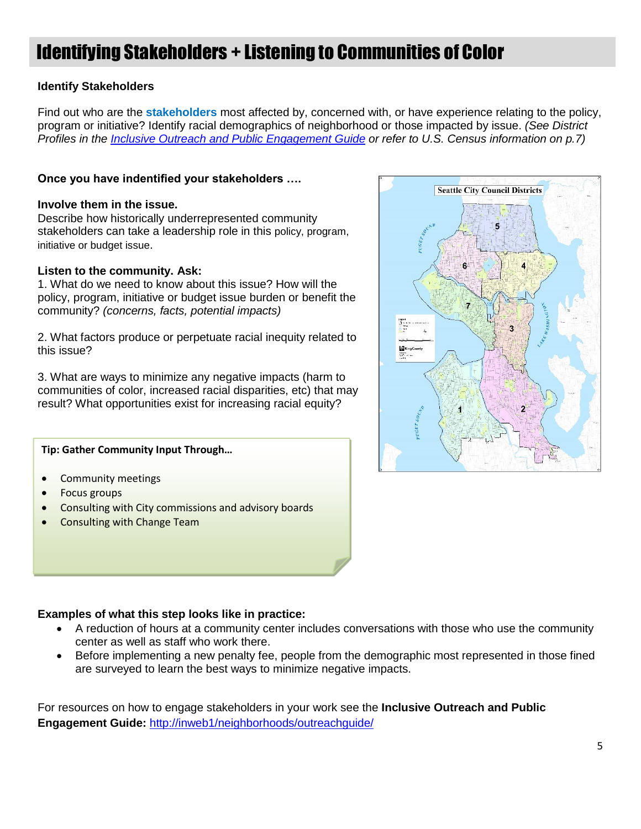# Identifying Stakeholders + Listening to Communities of Color

#### **Identify Stakeholders**

Find out who are the **[stakeholders](file://///SEA100_SMD_SERVER/V21/SOCR/HOME/ANIBARB/My%20Documents/ttolkit%20update/stakeholders)** most affected by, concerned with, or have experience relating to the policy, program or initiative? Identify racial demographics of neighborhood or those impacted by issue. *(See District Profiles in the [Inclusive Outreach and Public Engagement Guide](http://inweb1/neighborhoods/outreachguide/) or refer to U.S. Census information on p.7)*

#### **Once you have indentified your stakeholders ….**

#### **Involve them in the issue.**

Describe how historically underrepresented community stakeholders can take a leadership role in this policy, program, initiative or budget issue.

#### **Listen to the community. Ask:**

1. What do we need to know about this issue? How will the policy, program, initiative or budget issue burden or benefit the community? *(concerns, facts, potential impacts)*

2. What factors produce or perpetuate racial inequity related to this issue?

3. What are ways to minimize any negative impacts (harm to communities of color, increased racial disparities, etc) that may result? What opportunities exist for increasing racial equity?

#### **Tip: Gather Community Input Through…**

- Community meetings
- Focus groups
- Consulting with City commissions and advisory boards
- Consulting with Change Team

#### **Examples of what this step looks like in practice:**

- A reduction of hours at a community center includes conversations with those who use the community center as well as staff who work there.
- Before implementing a new penalty fee, people from the demographic most represented in those fined are surveyed to learn the best ways to minimize negative impacts.

For resources on how to engage stakeholders in your work see the **Inclusive Outreach and Public Engagement Guide:** <http://inweb1/neighborhoods/outreachguide/>

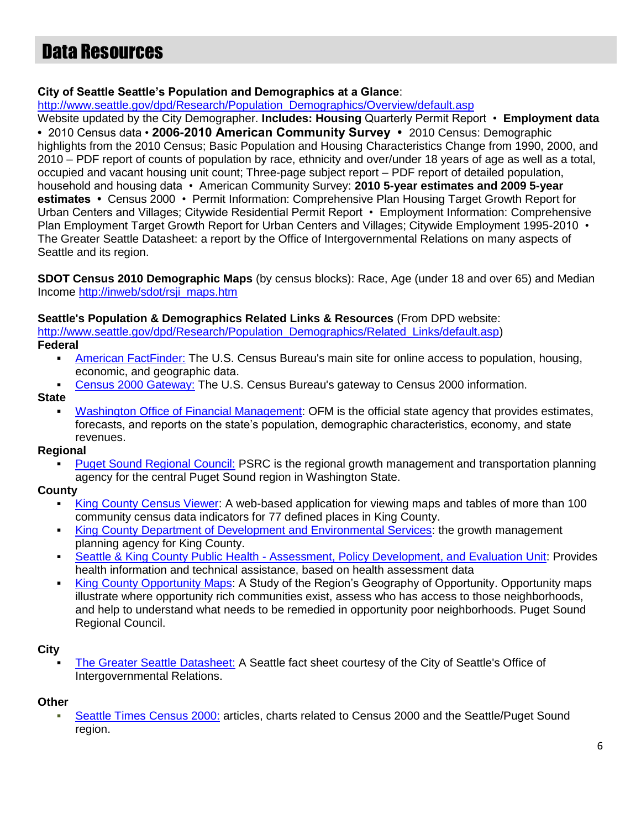# Data Resources

#### **City of Seattle Seattle's Population and Demographics at a Glance**:

[http://www.seattle.gov/dpd/Research/Population\\_Demographics/Overview/default.asp](http://www.seattle.gov/dpd/Research/Population_Demographics/Overview/default.asp)

Website updated by the City Demographer. **Includes: Housing** Quarterly Permit Report • **Employment data •** 2010 Census data • **2006-2010 American Community Survey •** 2010 Census: Demographic highlights from the 2010 Census; Basic Population and Housing Characteristics Change from 1990, 2000, and 2010 – PDF report of counts of population by race, ethnicity and over/under 18 years of age as well as a total, occupied and vacant housing unit count; Three-page subject report – PDF report of detailed population, household and housing data • American Community Survey: **2010 5-year estimates and 2009 5-year estimates •** Census 2000 • Permit Information: Comprehensive Plan Housing Target Growth Report for Urban Centers and Villages; Citywide Residential Permit Report • Employment Information: Comprehensive Plan Employment Target Growth Report for Urban Centers and Villages; Citywide Employment 1995-2010 • The Greater Seattle Datasheet: a report by the Office of Intergovernmental Relations on many aspects of Seattle and its region.

**SDOT Census 2010 Demographic Maps** (by census blocks): Race, Age (under 18 and over 65) and Median Income [http://inweb/sdot/rsji\\_maps.htm](http://inweb/sdot/rsji_maps.htm)

#### **Seattle's Population & Demographics Related Links & Resources** (From DPD website:

[http://www.seattle.gov/dpd/Research/Population\\_Demographics/Related\\_Links/default.asp\)](http://www.seattle.gov/dpd/Research/Population_Demographics/Related_Links/default.asp)

**Federal**

- **[American FactFinder:](http://factfinder.census.gov/servlet/BasicFactsServlet) The U.S. Census Bureau's main site for online access to population, housing,** economic, and geographic data.
- [Census 2000 Gateway:](http://www.census.gov/main/www/cen2000.html) The U.S. Census Bureau's gateway to Census 2000 information.

#### **State**

[Washington Office of Financial Management:](http://www.ofm.wa.gov/pop/default.asp) OFM is the official state agency that provides estimates, forecasts, and reports on the state's population, demographic characteristics, economy, and state revenues.

#### **Regional**

[Puget Sound Regional Council:](http://www.psrc.org/) PSRC is the regional growth management and transportation planning agency for the central Puget Sound region in Washington State.

#### **County**

- [King County Census Viewer:](http://www.kingcounty.gov/operations/GIS/Maps/CensusViewer.aspx) A web-based application for viewing maps and tables of more than 100 community census data indicators for 77 defined places in King County.
- [King County Department of Development and Environmental Services:](http://www.kingcounty.gov/property/permits/codes/growth.aspx) the growth management planning agency for King County.
- **Seattle & King County Public Health [Assessment, Policy Development, and Evaluation Unit:](http://www.kingcounty.gov/healthservices/health/data.aspx) Provides** health information and technical assistance, based on health assessment data
- [King County Opportunity Maps:](http://psrc.org/growth/growing-transit-communities/oppmap/) A Study of the Region's Geography of Opportunity. Opportunity maps illustrate where opportunity rich communities exist, assess who has access to those neighborhoods, and help to understand what needs to be remedied in opportunity poor neighborhoods. Puget Sound Regional Council.

#### **City**

[The Greater Seattle Datasheet:](http://www.cityofseattle.net/oir/datasheet) A Seattle fact sheet courtesy of the City of Seattle's Office of Intergovernmental Relations.

#### **Other**

[Seattle Times Census 2000:](http://seattletimes.nwsource.com/html/census2000/) articles, charts related to Census 2000 and the Seattle/Puget Sound region.